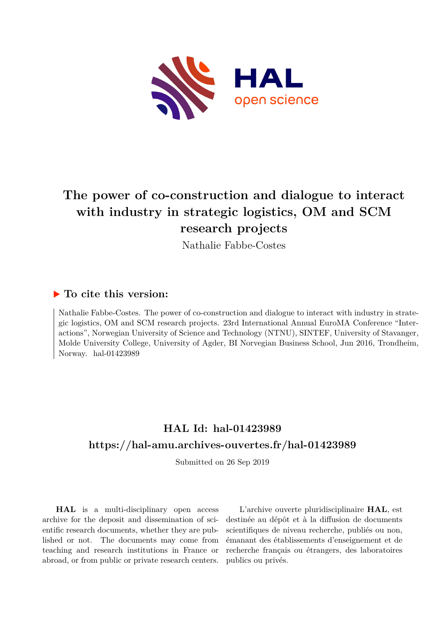

# **The power of co-construction and dialogue to interact with industry in strategic logistics, OM and SCM research projects**

Nathalie Fabbe-Costes

### **To cite this version:**

Nathalie Fabbe-Costes. The power of co-construction and dialogue to interact with industry in strategic logistics, OM and SCM research projects. 23rd International Annual EuroMA Conference "Interactions", Norwegian University of Science and Technology (NTNU), SINTEF, University of Stavanger, Molde University College, University of Agder, BI Norvegian Business School, Jun 2016, Trondheim, Norway. hal-01423989

## **HAL Id: hal-01423989 <https://hal-amu.archives-ouvertes.fr/hal-01423989>**

Submitted on 26 Sep 2019

**HAL** is a multi-disciplinary open access archive for the deposit and dissemination of scientific research documents, whether they are published or not. The documents may come from teaching and research institutions in France or abroad, or from public or private research centers.

L'archive ouverte pluridisciplinaire **HAL**, est destinée au dépôt et à la diffusion de documents scientifiques de niveau recherche, publiés ou non, émanant des établissements d'enseignement et de recherche français ou étrangers, des laboratoires publics ou privés.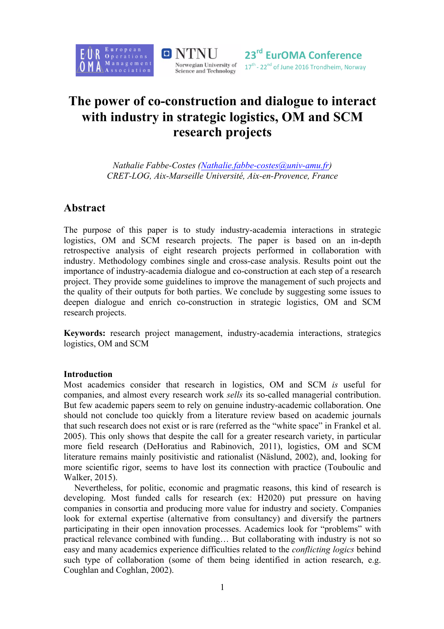

## **The power of co-construction and dialogue to interact with industry in strategic logistics, OM and SCM research projects**

Science and Technology

*Nathalie Fabbe-Costes (Nathalie.fabbe-costes@univ-amu.fr) CRET-LOG, Aix-Marseille Université, Aix-en-Provence, France*

### **Abstract**

The purpose of this paper is to study industry-academia interactions in strategic logistics, OM and SCM research projects. The paper is based on an in-depth retrospective analysis of eight research projects performed in collaboration with industry. Methodology combines single and cross-case analysis. Results point out the importance of industry-academia dialogue and co-construction at each step of a research project. They provide some guidelines to improve the management of such projects and the quality of their outputs for both parties. We conclude by suggesting some issues to deepen dialogue and enrich co-construction in strategic logistics, OM and SCM research projects.

**Keywords:** research project management, industry-academia interactions, strategics logistics, OM and SCM

#### **Introduction**

Most academics consider that research in logistics, OM and SCM *is* useful for companies, and almost every research work *sells* its so-called managerial contribution. But few academic papers seem to rely on genuine industry-academic collaboration. One should not conclude too quickly from a literature review based on academic journals that such research does not exist or is rare (referred as the "white space" in Frankel et al. 2005). This only shows that despite the call for a greater research variety, in particular more field research (DeHoratius and Rabinovich, 2011), logistics, OM and SCM literature remains mainly positivistic and rationalist (Näslund, 2002), and, looking for more scientific rigor, seems to have lost its connection with practice (Touboulic and Walker, 2015).

Nevertheless, for politic, economic and pragmatic reasons, this kind of research is developing. Most funded calls for research (ex: H2020) put pressure on having companies in consortia and producing more value for industry and society. Companies look for external expertise (alternative from consultancy) and diversify the partners participating in their open innovation processes. Academics look for "problems" with practical relevance combined with funding… But collaborating with industry is not so easy and many academics experience difficulties related to the *conflicting logics* behind such type of collaboration (some of them being identified in action research, e.g. Coughlan and Coghlan, 2002).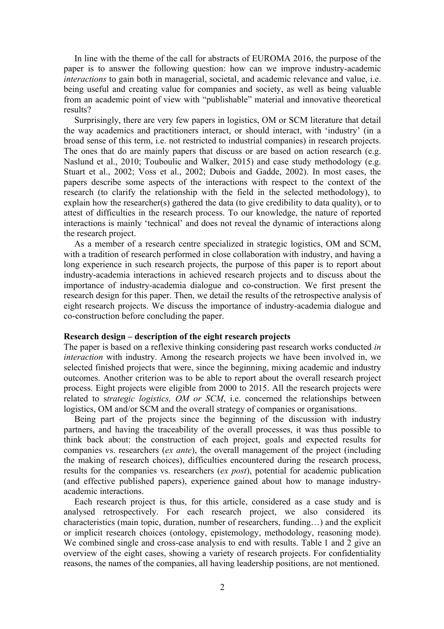In line with the theme of the call for abstracts of EUROMA 2016, the purpose of the paper is to answer the following question: how can we improve industry-academic *interactions* to gain both in managerial, societal, and academic relevance and value, i.e. being useful and creating value for companies and society, as well as being valuable from an academic point of view with "publishable" material and innovative theoretical results?

Surprisingly, there are very few papers in logistics, OM or SCM literature that detail the way academics and practitioners interact, or should interact, with 'industry' (in a broad sense of this term, i.e. not restricted to industrial companies) in research projects. The ones that do are mainly papers that discuss or are based on action research (e.g. Naslund et al., 2010; Touboulic and Walker, 2015) and case study methodology (e.g. Stuart et al., 2002; Voss et al., 2002; Dubois and Gadde, 2002). In most cases, the papers describe some aspects of the interactions with respect to the context of the research (to clarify the relationship with the field in the selected methodology), to explain how the researcher(s) gathered the data (to give credibility to data quality), or to attest of difficulties in the research process. To our knowledge, the nature of reported interactions is mainly 'technical' and does not reveal the dynamic of interactions along the research project.

As a member of a research centre specialized in strategic logistics, OM and SCM, with a tradition of research performed in close collaboration with industry, and having a long experience in such research projects, the purpose of this paper is to report about industry-academia interactions in achieved research projects and to discuss about the importance of industry-academia dialogue and co-construction. We first present the research design for this paper. Then, we detail the results of the retrospective analysis of eight research projects. We discuss the importance of industry-academia dialogue and co-construction before concluding the paper.

#### **Research design – description of the eight research projects**

The paper is based on a reflexive thinking considering past research works conducted *in interaction* with industry. Among the research projects we have been involved in, we selected finished projects that were, since the beginning, mixing academic and industry outcomes. Another criterion was to be able to report about the overall research project process. Eight projects were eligible from 2000 to 2015. All the research projects were related to s*trategic logistics, OM or SCM*, i.e. concerned the relationships between logistics, OM and/or SCM and the overall strategy of companies or organisations.

Being part of the projects since the beginning of the discussion with industry partners, and having the traceability of the overall processes, it was thus possible to think back about: the construction of each project, goals and expected results for companies vs. researchers (*ex ante*), the overall management of the project (including the making of research choices), difficulties encountered during the research process, results for the companies vs. researchers (*ex post*), potential for academic publication (and effective published papers), experience gained about how to manage industryacademic interactions.

Each research project is thus, for this article, considered as a case study and is analysed retrospectively. For each research project, we also considered its characteristics (main topic, duration, number of researchers, funding…) and the explicit or implicit research choices (ontology, epistemology, methodology, reasoning mode). We combined single and cross-case analysis to end with results. Table 1 and 2 give an overview of the eight cases, showing a variety of research projects. For confidentiality reasons, the names of the companies, all having leadership positions, are not mentioned.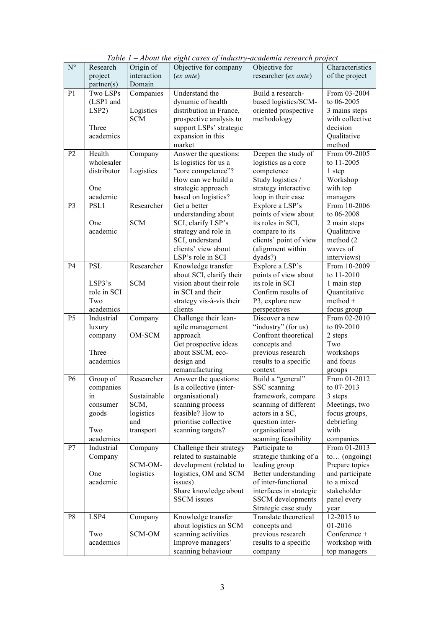| $\mathbf{N}^{\circ}$ | Research    | Origin of   | $\mu$ . Capes $\sigma$ , manus .<br>Objective for company | ouwonnee resean on pr<br>Objective for | Characteristics |
|----------------------|-------------|-------------|-----------------------------------------------------------|----------------------------------------|-----------------|
|                      | project     | interaction | $(ex$ ante)                                               | researcher (ex ante)                   | of the project  |
|                      |             |             |                                                           |                                        |                 |
|                      | partner(s)  | Domain      |                                                           |                                        |                 |
| P <sub>1</sub>       | Two LSPs    | Companies   | Understand the                                            | Build a research-                      | From 03-2004    |
|                      | (LSP1 and   |             | dynamic of health                                         | based logistics/SCM-                   | to 06-2005      |
|                      | LSP2        | Logistics   | distribution in France,                                   | oriented prospective                   | 3 mains steps   |
|                      |             | <b>SCM</b>  | prospective analysis to                                   | methodology                            | with collective |
|                      | Three       |             | support LSPs' strategic                                   |                                        | decision        |
|                      | academics   |             | expansion in this                                         |                                        | Qualitative     |
|                      |             |             | market                                                    |                                        | method          |
| P <sub>2</sub>       | Health      | Company     | Answer the questions:                                     | Deepen the study of                    | From 09-2005    |
|                      | wholesaler  |             | Is logistics for us a                                     | logistics as a core                    | to 11-2005      |
|                      | distributor | Logistics   | "core competence"?                                        | competence                             | 1 step          |
|                      |             |             | How can we build a                                        | Study logistics /                      | Workshop        |
|                      | One         |             | strategic approach                                        | strategy interactive                   | with top        |
|                      | academic    |             | based on logistics?                                       | loop in their case                     | managers        |
| P <sub>3</sub>       | PSL1        | Researcher  | Get a better                                              | Explore a LSP's                        | From 10-2006    |
|                      |             |             | understanding about                                       | points of view about                   | to 06-2008      |
|                      | One         | <b>SCM</b>  | SCI, clarify LSP's                                        | its roles in SCI,                      | 2 main steps    |
|                      | academic    |             | strategy and role in                                      | compare to its                         | Qualitative     |
|                      |             |             | SCI, understand                                           | clients' point of view                 | method (2)      |
|                      |             |             | clients' view about                                       | (alignment within                      | waves of        |
|                      |             |             |                                                           |                                        |                 |
| <b>P4</b>            | <b>PSL</b>  |             | LSP's role in SCI<br>Knowledge transfer                   | dyads?)                                | interviews)     |
|                      |             | Researcher  |                                                           | Explore a LSP's                        | From 10-2009    |
|                      |             |             | about SCI, clarify their                                  | points of view about                   | to 11-2010      |
|                      | LSP3's      | <b>SCM</b>  | vision about their role                                   | its role in SCI                        | 1 main step     |
|                      | role in SCI |             | in SCI and their                                          | Confirm results of                     | Quantitative    |
|                      | Two         |             | strategy vis-à-vis their                                  | P3, explore new                        | $method +$      |
|                      | academics   |             | clients                                                   | perspectives                           | focus group     |
| P <sub>5</sub>       | Industrial  | Company     | Challenge their lean-                                     | Discover a new                         | From 02-2010    |
|                      | luxury      |             | agile management                                          | "industry" (for us)                    | to 09-2010      |
|                      | company     | OM-SCM      | approach                                                  | Confront theoretical                   | 2 steps         |
|                      |             |             | Get prospective ideas                                     | concepts and                           | Two             |
|                      | Three       |             | about SSCM, eco-                                          | previous research                      | workshops       |
|                      | academics   |             | design and                                                | results to a specific                  | and focus       |
|                      |             |             | remanufacturing                                           | context                                | groups          |
| <b>P6</b>            | Group of    | Researcher  | Answer the questions:                                     | Build a "general"                      | From 01-2012    |
|                      | companies   |             | Is a collective (inter-                                   | SSC scanning                           | to 07-2013      |
|                      | $\ln$       | Sustainable | organisational)                                           | framework, compare                     | 3 steps         |
|                      | consumer    | SCM,        | scanning process                                          | scanning of different                  | Meetings, two   |
|                      | goods       | logistics   | feasible? How to                                          | actors in a SC,                        | focus groups,   |
|                      |             | and         | prioritise collective                                     | question inter-                        | debriefing      |
|                      | Two         | transport   | scanning targets?                                         | organisational                         | with            |
|                      | academics   |             |                                                           | scanning feasibility                   | companies       |
| P7                   | Industrial  | Company     | Challenge their strategy                                  | Participate to                         | From 01-2013    |
|                      | Company     |             | related to sustainable                                    | strategic thinking of a                | $to$ (ongoing)  |
|                      |             | SCM-OM-     | development (related to                                   | leading group                          | Prepare topics  |
|                      | One         | logistics   | logistics, OM and SCM                                     | Better understanding                   | and participate |
|                      | academic    |             | issues)                                                   | of inter-functional                    | to a mixed      |
|                      |             |             | Share knowledge about                                     | interfaces in strategic                | stakeholder     |
|                      |             |             | <b>SSCM</b> issues                                        | <b>SSCM</b> developments               | panel every     |
|                      |             |             |                                                           | Strategic case study                   | year            |
| P <sub>8</sub>       | LSP4        | Company     | Knowledge transfer                                        | Translate theoretical                  | 12-2015 to      |
|                      |             |             | about logistics an SCM                                    | concepts and                           | 01-2016         |
|                      | Two         | SCM-OM      | scanning activities                                       | previous research                      | Conference +    |
|                      | academics   |             | Improve managers'                                         | results to a specific                  | workshop with   |
|                      |             |             | scanning behaviour                                        | company                                | top managers    |

*Table 1 – About the eight cases of industry-academia research project*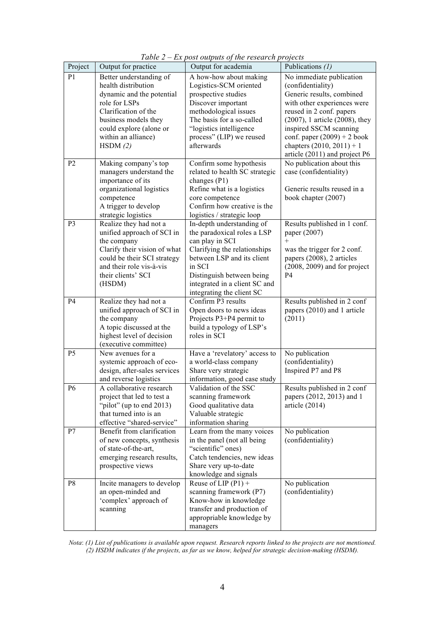| Project        | Output for practice                                     | Output for academia                                        | Publications (1)                                            |
|----------------|---------------------------------------------------------|------------------------------------------------------------|-------------------------------------------------------------|
| P <sub>1</sub> | Better understanding of                                 | A how-how about making                                     | No immediate publication                                    |
|                | health distribution                                     | Logistics-SCM oriented                                     | (confidentiality)                                           |
|                | dynamic and the potential                               | prospective studies                                        | Generic results, combined                                   |
|                | role for LSPs                                           | Discover important                                         | with other experiences were                                 |
|                | Clarification of the                                    | methodological issues                                      | reused in 2 conf. papers                                    |
|                | business models they                                    | The basis for a so-called                                  | $(2007)$ , 1 article $(2008)$ , they                        |
|                | could explore (alone or                                 | "logistics intelligence                                    | inspired SSCM scanning                                      |
|                | within an alliance)                                     | process" (LIP) we reused                                   | conf. paper $(2009) + 2$ book                               |
|                | HSDM(2)                                                 | afterwards                                                 | chapters $(2010, 2011) + 1$                                 |
|                |                                                         |                                                            | article (2011) and project P6                               |
| P <sub>2</sub> | Making company's top                                    | Confirm some hypothesis                                    | No publication about this                                   |
|                | managers understand the                                 | related to health SC strategic                             | case (confidentiality)                                      |
|                | importance of its                                       | changes (P1)                                               |                                                             |
|                | organizational logistics                                | Refine what is a logistics                                 | Generic results reused in a                                 |
|                | competence                                              | core competence                                            | book chapter (2007)                                         |
|                | A trigger to develop                                    | Confirm how creative is the                                |                                                             |
|                | strategic logistics                                     | logistics / strategic loop                                 |                                                             |
| P <sub>3</sub> | Realize they had not a                                  | In-depth understanding of                                  | Results published in 1 conf.                                |
|                | unified approach of SCI in                              | the paradoxical roles a LSP                                | paper (2007)                                                |
|                | the company                                             | can play in SCI                                            | $+$                                                         |
|                | Clarify their vision of what                            | Clarifying the relationships<br>between LSP and its client | was the trigger for 2 conf.                                 |
|                | could be their SCI strategy<br>and their role vis-à-vis | in SCI                                                     | papers (2008), 2 articles<br>$(2008, 2009)$ and for project |
|                | their clients' SCI                                      | Distinguish between being                                  | P <sub>4</sub>                                              |
|                | (HSDM)                                                  | integrated in a client SC and                              |                                                             |
|                |                                                         | integrating the client SC                                  |                                                             |
| <b>P4</b>      | Realize they had not a                                  | Confirm P3 results                                         | Results published in 2 conf                                 |
|                | unified approach of SCI in                              | Open doors to news ideas                                   | papers (2010) and 1 article                                 |
|                | the company                                             | Projects P3+P4 permit to                                   | (2011)                                                      |
|                | A topic discussed at the                                | build a typology of LSP's                                  |                                                             |
|                | highest level of decision                               | roles in SCI                                               |                                                             |
|                | (executive committee)                                   |                                                            |                                                             |
| P <sub>5</sub> | New avenues for a                                       | Have a 'revelatory' access to                              | No publication                                              |
|                | systemic approach of eco-                               | a world-class company                                      | (confidentiality)                                           |
|                | design, after-sales services                            | Share very strategic                                       | Inspired P7 and P8                                          |
|                | and reverse logistics                                   | information, good case study                               |                                                             |
| P <sub>6</sub> | A collaborative research                                | Validation of the SSC                                      | Results published in 2 conf                                 |
|                | project that led to test a                              | scanning framework                                         | papers (2012, 2013) and 1                                   |
|                | "pilot" (up to end 2013)                                | Good qualitative data                                      | article $(2014)$                                            |
|                | that turned into is an                                  | Valuable strategic                                         |                                                             |
|                | effective "shared-service"                              | information sharing                                        |                                                             |
| P7             | Benefit from clarification                              | Learn from the many voices                                 | No publication                                              |
|                | of new concepts, synthesis                              | in the panel (not all being                                | (confidentiality)                                           |
|                | of state-of-the-art,                                    | "scientific" ones)                                         |                                                             |
|                | emerging research results,                              | Catch tendencies, new ideas                                |                                                             |
|                | prospective views                                       | Share very up-to-date                                      |                                                             |
|                |                                                         | knowledge and signals                                      |                                                             |
| P <sub>8</sub> | Incite managers to develop                              | Reuse of LIP $(P1)$ +                                      | No publication<br>(confidentiality)                         |
|                | an open-minded and                                      | scanning framework (P7)                                    |                                                             |
|                | 'complex' approach of<br>scanning                       | Know-how in knowledge<br>transfer and production of        |                                                             |
|                |                                                         | appropriable knowledge by                                  |                                                             |
|                |                                                         | managers                                                   |                                                             |
|                |                                                         |                                                            |                                                             |

*Table 2 – Ex post outputs of the research projects*

*Nota*: *(1) List of publications is available upon request. Research reports linked to the projects are not mentioned. (2) HSDM indicates if the projects, as far as we know, helped for strategic decision-making (HSDM).*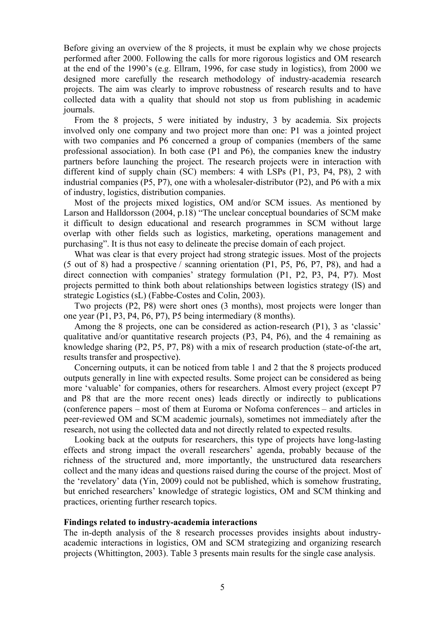Before giving an overview of the 8 projects, it must be explain why we chose projects performed after 2000. Following the calls for more rigorous logistics and OM research at the end of the 1990's (e.g. Ellram, 1996, for case study in logistics), from 2000 we designed more carefully the research methodology of industry-academia research projects. The aim was clearly to improve robustness of research results and to have collected data with a quality that should not stop us from publishing in academic journals.

From the 8 projects, 5 were initiated by industry, 3 by academia. Six projects involved only one company and two project more than one: P1 was a jointed project with two companies and P6 concerned a group of companies (members of the same professional association). In both case (P1 and P6), the companies knew the industry partners before launching the project. The research projects were in interaction with different kind of supply chain (SC) members: 4 with LSPs (P1, P3, P4, P8), 2 with industrial companies (P5, P7), one with a wholesaler-distributor (P2), and P6 with a mix of industry, logistics, distribution companies.

Most of the projects mixed logistics, OM and/or SCM issues. As mentioned by Larson and Halldorsson (2004, p.18) "The unclear conceptual boundaries of SCM make it difficult to design educational and research programmes in SCM without large overlap with other fields such as logistics, marketing, operations management and purchasing". It is thus not easy to delineate the precise domain of each project.

What was clear is that every project had strong strategic issues. Most of the projects (5 out of 8) had a prospective / scanning orientation (P1, P5, P6, P7, P8), and had a direct connection with companies' strategy formulation (P1, P2, P3, P4, P7). Most projects permitted to think both about relationships between logistics strategy (lS) and strategic Logistics (sL) (Fabbe-Costes and Colin, 2003).

Two projects (P2, P8) were short ones (3 months), most projects were longer than one year (P1, P3, P4, P6, P7), P5 being intermediary (8 months).

Among the 8 projects, one can be considered as action-research (P1), 3 as 'classic' qualitative and/or quantitative research projects (P3, P4, P6), and the 4 remaining as knowledge sharing (P2, P5, P7, P8) with a mix of research production (state-of-the art, results transfer and prospective).

Concerning outputs, it can be noticed from table 1 and 2 that the 8 projects produced outputs generally in line with expected results. Some project can be considered as being more 'valuable' for companies, others for researchers. Almost every project (except P7 and P8 that are the more recent ones) leads directly or indirectly to publications (conference papers – most of them at Euroma or Nofoma conferences – and articles in peer-reviewed OM and SCM academic journals), sometimes not immediately after the research, not using the collected data and not directly related to expected results.

Looking back at the outputs for researchers, this type of projects have long-lasting effects and strong impact the overall researchers' agenda, probably because of the richness of the structured and, more importantly, the unstructured data researchers collect and the many ideas and questions raised during the course of the project. Most of the 'revelatory' data (Yin, 2009) could not be published, which is somehow frustrating, but enriched researchers' knowledge of strategic logistics, OM and SCM thinking and practices, orienting further research topics.

#### **Findings related to industry-academia interactions**

The in-depth analysis of the 8 research processes provides insights about industryacademic interactions in logistics, OM and SCM strategizing and organizing research projects (Whittington, 2003). Table 3 presents main results for the single case analysis.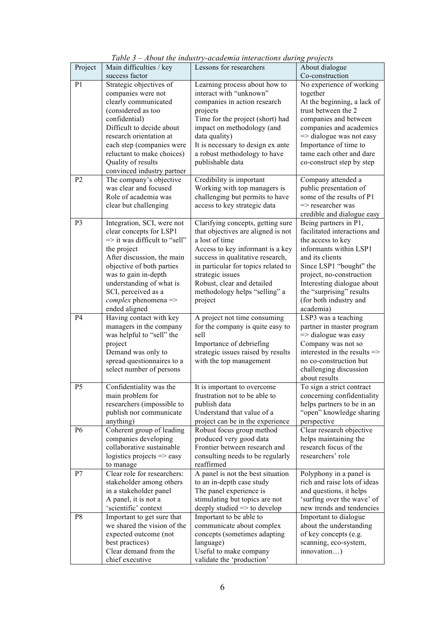| Project        | Main difficulties / key                          | Lessons for researchers                          | About dialogue                                               |
|----------------|--------------------------------------------------|--------------------------------------------------|--------------------------------------------------------------|
|                | success factor                                   |                                                  | Co-construction                                              |
| P <sub>1</sub> | Strategic objectives of                          | Learning process about how to                    | No experience of working                                     |
|                | companies were not                               | interact with "unknown"                          | together                                                     |
|                | clearly communicated                             | companies in action research                     | At the beginning, a lack of                                  |
|                | (considered as too                               | projects                                         | trust between the 2                                          |
|                | confidential)                                    | Time for the project (short) had                 | companies and between                                        |
|                | Difficult to decide about                        | impact on methodology (and                       | companies and academics                                      |
|                | research orientation at                          | data quality)                                    | $\Rightarrow$ dialogue was not easy                          |
|                | each step (companies were                        | It is necessary to design ex ante                | Importance of time to<br>tame each other and dare            |
|                | reluctant to make choices)<br>Quality of results | a robust methodology to have<br>publishable data |                                                              |
|                | convinced industry partner                       |                                                  | co-construct step by step                                    |
| P <sub>2</sub> | The company's objective                          | Credibility is important                         | Company attended a                                           |
|                | was clear and focused                            | Working with top managers is                     | public presentation of                                       |
|                | Role of academia was                             | challenging but permits to have                  | some of the results of P1                                    |
|                | clear but challenging                            | access to key strategic data                     | $\Rightarrow$ researcher was                                 |
|                |                                                  |                                                  | credible and dialogue easy                                   |
| P <sub>3</sub> | Integration, SCI, were not                       | Clarifying concepts, getting sure                | Being partners in P1,                                        |
|                | clear concepts for LSP1                          | that objectives are aligned is not               | facilitated interactions and                                 |
|                | $\Rightarrow$ it was difficult to "sell"         | a lost of time                                   | the access to key                                            |
|                | the project                                      | Access to key informant is a key                 | informants within LSP1                                       |
|                | After discussion, the main                       | success in qualitative research,                 | and its clients                                              |
|                | objective of both parties                        | in particular for topics related to              | Since LSP1 "bought" the                                      |
|                | was to gain in-depth                             | strategic issues                                 | project, no-construction                                     |
|                | understanding of what is                         | Robust, clear and detailed                       | Interesting dialogue about                                   |
|                | SCI, perceived as a                              | methodology helps "selling" a                    | the "surprising" results                                     |
|                | complex phenomena =>                             | project                                          | (for both industry and                                       |
|                | ended aligned                                    |                                                  | academia)                                                    |
| <b>P4</b>      | Having contact with key                          | A project not time consuming                     | LSP3 was a teaching                                          |
|                | managers in the company                          | for the company is quite easy to<br>sell         | partner in master program<br>$\Rightarrow$ dialogue was easy |
|                | was helpful to "sell" the<br>project             | Importance of debriefing                         | Company was not so                                           |
|                | Demand was only to                               | strategic issues raised by results               | interested in the results =>                                 |
|                | spread questionnaires to a                       | with the top management                          | no co-construction but                                       |
|                | select number of persons                         |                                                  | challenging discussion                                       |
|                |                                                  |                                                  | about results                                                |
| P <sub>5</sub> | Confidentiality was the                          | It is important to overcome                      | To sign a strict contract                                    |
|                | main problem for                                 | frustration not to be able to                    | concerning confidentiality                                   |
|                | researchers (impossible to                       | publish data                                     | helps partners to be in an                                   |
|                | publish nor communicate                          | Understand that value of a                       | "open" knowledge sharing                                     |
|                | anything)                                        | project can be in the experience                 | perspective                                                  |
| P <sub>6</sub> | Coherent group of leading                        | Robust focus group method                        | Clear research objective                                     |
|                | companies developing                             | produced very good data                          | helps maintaining the                                        |
|                | collaborative sustainable                        | Frontier between research and                    | research focus of the<br>researchers' role                   |
|                | logistics projects $\Rightarrow$ easy            | consulting needs to be regularly                 |                                                              |
| P7             | to manage<br>Clear role for researchers:         | reaffirmed<br>A panel is not the best situation  |                                                              |
|                | stakeholder among others                         | to an in-depth case study                        | Polyphony in a panel is<br>rich and raise lots of ideas      |
|                | in a stakeholder panel                           | The panel experience is                          | and questions, it helps                                      |
|                | A panel, it is not a                             | stimulating but topics are not                   | 'surfing over the wave' of                                   |
|                | 'scientific' context                             | deeply studied $\Rightarrow$ to develop          | new trends and tendencies                                    |
| P8             | Important to get sure that                       | Important to be able to                          | Important to dialogue                                        |
|                | we shared the vision of the                      | communicate about complex                        | about the understanding                                      |
|                | expected outcome (not                            | concepts (sometimes adapting                     | of key concepts (e.g.                                        |
|                | best practices)                                  | language)                                        | scanning, eco-system,                                        |
|                | Clear demand from the                            | Useful to make company                           | innovation)                                                  |
|                | chief executive                                  | validate the 'production'                        |                                                              |

*Table 3 – About the industry-academia interactions during projects*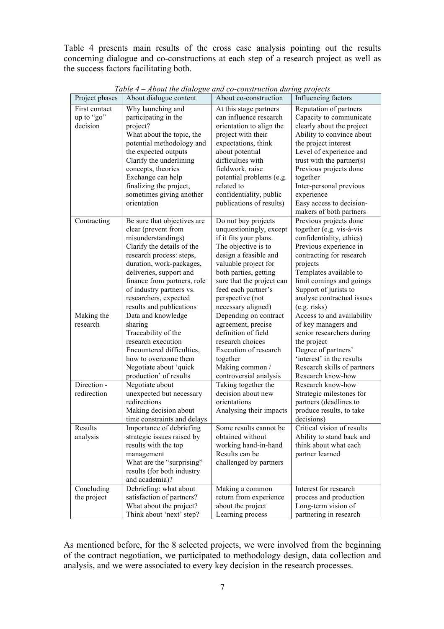Table 4 presents main results of the cross case analysis pointing out the results concerning dialogue and co-constructions at each step of a research project as well as the success factors facilitating both.

| Project phases | About dialogue content      | About co-construction     | Influencing factors         |
|----------------|-----------------------------|---------------------------|-----------------------------|
| First contact  | Why launching and           | At this stage partners    | Reputation of partners      |
| up to "go"     | participating in the        | can influence research    | Capacity to communicate     |
| decision       | project?                    | orientation to align the  | clearly about the project   |
|                | What about the topic, the   | project with their        | Ability to convince about   |
|                | potential methodology and   | expectations, think       | the project interest        |
|                | the expected outputs        | about potential           | Level of experience and     |
|                | Clarify the underlining     | difficulties with         | trust with the partner(s)   |
|                | concepts, theories          | fieldwork, raise          | Previous projects done      |
|                | Exchange can help           | potential problems (e.g.  | together                    |
|                | finalizing the project,     | related to                | Inter-personal previous     |
|                | sometimes giving another    | confidentiality, public   | experience                  |
|                | orientation                 | publications of results)  | Easy access to decision-    |
|                |                             |                           | makers of both partners     |
| Contracting    | Be sure that objectives are | Do not buy projects       | Previous projects done      |
|                | clear (prevent from         | unquestioningly, except   | together (e.g. vis-à-vis    |
|                | misunderstandings)          | if it fits your plans.    | confidentiality, ethics)    |
|                | Clarify the details of the  | The objective is to       | Previous experience in      |
|                | research process: steps,    | design a feasible and     | contracting for research    |
|                | duration, work-packages,    | valuable project for      | projects                    |
|                | deliveries, support and     | both parties, getting     | Templates available to      |
|                | finance from partners, role | sure that the project can | limit comings and goings    |
|                | of industry partners vs.    | feed each partner's       | Support of jurists to       |
|                | researchers, expected       | perspective (not          | analyse contractual issues  |
|                | results and publications    | necessary aligned)        | (e.g. risks)                |
| Making the     | Data and knowledge          | Depending on contract     | Access to and availability  |
| research       | sharing                     | agreement, precise        | of key managers and         |
|                | Traceability of the         | definition of field       | senior researchers during   |
|                | research execution          | research choices          | the project                 |
|                | Encountered difficulties,   | Execution of research     | Degree of partners'         |
|                | how to overcome them        | together                  | 'interest' in the results   |
|                | Negotiate about 'quick      | Making common /           | Research skills of partners |
|                | production' of results      | controversial analysis    | Research know-how           |
| Direction -    | Negotiate about             | Taking together the       | Research know-how           |
| redirection    | unexpected but necessary    | decision about new        | Strategic milestones for    |
|                | redirections                | orientations              | partners (deadlines to      |
|                | Making decision about       | Analysing their impacts   | produce results, to take    |
|                | time constraints and delays |                           | decisions)                  |
| Results        | Importance of debriefing    | Some results cannot be    | Critical vision of results  |
| analysis       | strategic issues raised by  | obtained without          | Ability to stand back and   |
|                | results with the top        | working hand-in-hand      | think about what each       |
|                | management                  | Results can be            | partner learned             |
|                | What are the "surprising"   | challenged by partners    |                             |
|                | results (for both industry  |                           |                             |
|                | and academia)?              |                           |                             |
| Concluding     | Debriefing: what about      | Making a common           | Interest for research       |
| the project    | satisfaction of partners?   | return from experience    | process and production      |
|                | What about the project?     | about the project         | Long-term vision of         |
|                | Think about 'next' step?    | Learning process          | partnering in research      |

*Table 4 – About the dialogue and co-construction during projects* 

As mentioned before, for the 8 selected projects, we were involved from the beginning of the contract negotiation, we participated to methodology design, data collection and analysis, and we were associated to every key decision in the research processes.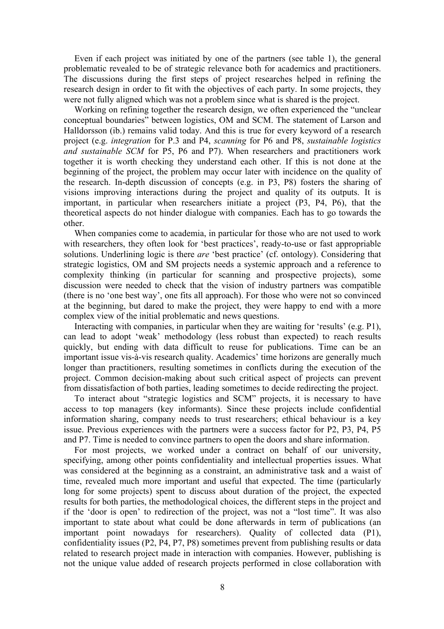Even if each project was initiated by one of the partners (see table 1), the general problematic revealed to be of strategic relevance both for academics and practitioners. The discussions during the first steps of project researches helped in refining the research design in order to fit with the objectives of each party. In some projects, they were not fully aligned which was not a problem since what is shared is the project.

Working on refining together the research design, we often experienced the "unclear conceptual boundaries" between logistics, OM and SCM. The statement of Larson and Halldorsson (ib.) remains valid today. And this is true for every keyword of a research project (e.g. *integration* for P.3 and P4, *scanning* for P6 and P8, *sustainable logistics and sustainable SCM* for P5, P6 and P7). When researchers and practitioners work together it is worth checking they understand each other. If this is not done at the beginning of the project, the problem may occur later with incidence on the quality of the research. In-depth discussion of concepts (e.g. in P3, P8) fosters the sharing of visions improving interactions during the project and quality of its outputs. It is important, in particular when researchers initiate a project (P3, P4, P6), that the theoretical aspects do not hinder dialogue with companies. Each has to go towards the other.

When companies come to academia, in particular for those who are not used to work with researchers, they often look for 'best practices', ready-to-use or fast appropriable solutions. Underlining logic is there *are* 'best practice' (cf. ontology). Considering that strategic logistics, OM and SM projects needs a systemic approach and a reference to complexity thinking (in particular for scanning and prospective projects), some discussion were needed to check that the vision of industry partners was compatible (there is no 'one best way', one fits all approach). For those who were not so convinced at the beginning, but dared to make the project, they were happy to end with a more complex view of the initial problematic and news questions.

Interacting with companies, in particular when they are waiting for 'results' (e.g. P1), can lead to adopt 'weak' methodology (less robust than expected) to reach results quickly, but ending with data difficult to reuse for publications. Time can be an important issue vis-à-vis research quality. Academics' time horizons are generally much longer than practitioners, resulting sometimes in conflicts during the execution of the project. Common decision-making about such critical aspect of projects can prevent from dissatisfaction of both parties, leading sometimes to decide redirecting the project.

To interact about "strategic logistics and SCM" projects, it is necessary to have access to top managers (key informants). Since these projects include confidential information sharing, company needs to trust researchers; ethical behaviour is a key issue. Previous experiences with the partners were a success factor for P2, P3, P4, P5 and P7. Time is needed to convince partners to open the doors and share information.

For most projects, we worked under a contract on behalf of our university, specifying, among other points confidentiality and intellectual properties issues. What was considered at the beginning as a constraint, an administrative task and a waist of time, revealed much more important and useful that expected. The time (particularly long for some projects) spent to discuss about duration of the project, the expected results for both parties, the methodological choices, the different steps in the project and if the 'door is open' to redirection of the project, was not a "lost time". It was also important to state about what could be done afterwards in term of publications (an important point nowadays for researchers). Quality of collected data (P1), confidentiality issues (P2, P4, P7, P8) sometimes prevent from publishing results or data related to research project made in interaction with companies. However, publishing is not the unique value added of research projects performed in close collaboration with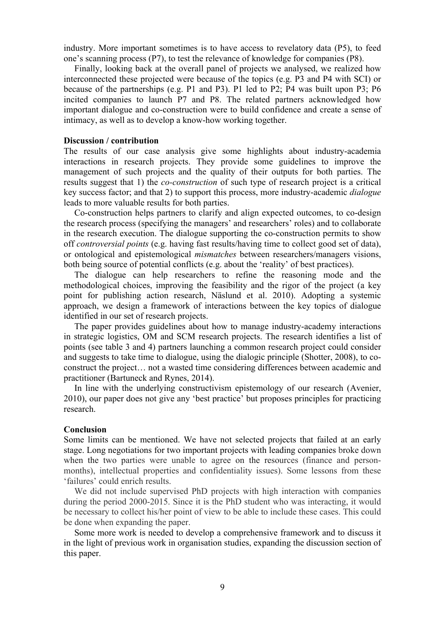industry. More important sometimes is to have access to revelatory data (P5), to feed one's scanning process (P7), to test the relevance of knowledge for companies (P8).

Finally, looking back at the overall panel of projects we analysed, we realized how interconnected these projected were because of the topics (e.g. P3 and P4 with SCI) or because of the partnerships (e.g. P1 and P3). P1 led to P2; P4 was built upon P3; P6 incited companies to launch P7 and P8. The related partners acknowledged how important dialogue and co-construction were to build confidence and create a sense of intimacy, as well as to develop a know-how working together.

#### **Discussion / contribution**

The results of our case analysis give some highlights about industry-academia interactions in research projects. They provide some guidelines to improve the management of such projects and the quality of their outputs for both parties. The results suggest that 1) the *co-construction* of such type of research project is a critical key success factor; and that 2) to support this process, more industry-academic *dialogue* leads to more valuable results for both parties.

Co-construction helps partners to clarify and align expected outcomes, to co-design the research process (specifying the managers' and researchers' roles) and to collaborate in the research execution. The dialogue supporting the co-construction permits to show off *controversial points* (e.g. having fast results/having time to collect good set of data), or ontological and epistemological *mismatches* between researchers/managers visions, both being source of potential conflicts (e.g. about the 'reality' of best practices).

The dialogue can help researchers to refine the reasoning mode and the methodological choices, improving the feasibility and the rigor of the project (a key point for publishing action research, Näslund et al. 2010). Adopting a systemic approach, we design a framework of interactions between the key topics of dialogue identified in our set of research projects.

The paper provides guidelines about how to manage industry-academy interactions in strategic logistics, OM and SCM research projects. The research identifies a list of points (see table 3 and 4) partners launching a common research project could consider and suggests to take time to dialogue, using the dialogic principle (Shotter, 2008), to coconstruct the project… not a wasted time considering differences between academic and practitioner (Bartuneck and Rynes, 2014).

In line with the underlying constructivism epistemology of our research (Avenier, 2010), our paper does not give any 'best practice' but proposes principles for practicing research.

#### **Conclusion**

Some limits can be mentioned. We have not selected projects that failed at an early stage. Long negotiations for two important projects with leading companies broke down when the two parties were unable to agree on the resources (finance and personmonths), intellectual properties and confidentiality issues). Some lessons from these 'failures' could enrich results.

We did not include supervised PhD projects with high interaction with companies during the period 2000-2015. Since it is the PhD student who was interacting, it would be necessary to collect his/her point of view to be able to include these cases. This could be done when expanding the paper.

Some more work is needed to develop a comprehensive framework and to discuss it in the light of previous work in organisation studies, expanding the discussion section of this paper.